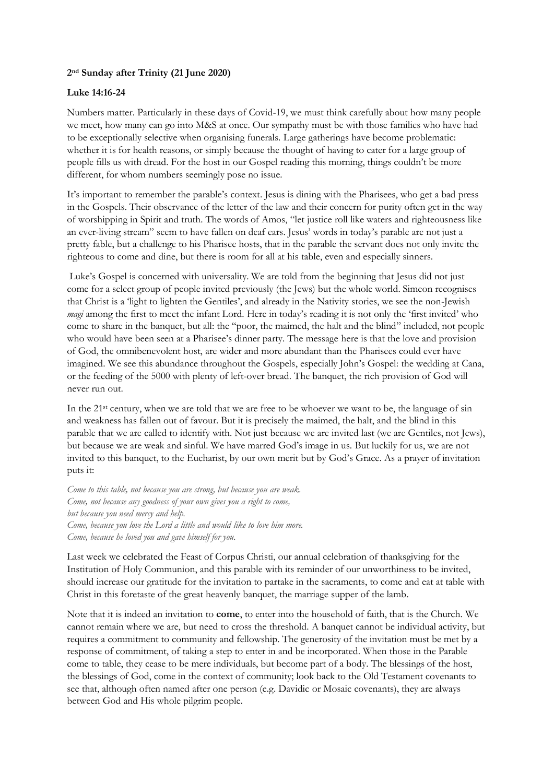## **2 nd Sunday after Trinity (21 June 2020)**

## **Luke 14:16-24**

Numbers matter. Particularly in these days of Covid-19, we must think carefully about how many people we meet, how many can go into M&S at once. Our sympathy must be with those families who have had to be exceptionally selective when organising funerals. Large gatherings have become problematic: whether it is for health reasons, or simply because the thought of having to cater for a large group of people fills us with dread. For the host in our Gospel reading this morning, things couldn't be more different, for whom numbers seemingly pose no issue.

It's important to remember the parable's context. Jesus is dining with the Pharisees, who get a bad press in the Gospels. Their observance of the letter of the law and their concern for purity often get in the way of worshipping in Spirit and truth. The words of Amos, "let justice roll like waters and righteousness like an ever-living stream" seem to have fallen on deaf ears. Jesus' words in today's parable are not just a pretty fable, but a challenge to his Pharisee hosts, that in the parable the servant does not only invite the righteous to come and dine, but there is room for all at his table, even and especially sinners.

Luke's Gospel is concerned with universality. We are told from the beginning that Jesus did not just come for a select group of people invited previously (the Jews) but the whole world. Simeon recognises that Christ is a 'light to lighten the Gentiles', and already in the Nativity stories, we see the non-Jewish *magi* among the first to meet the infant Lord. Here in today's reading it is not only the 'first invited' who come to share in the banquet, but all: the "poor, the maimed, the halt and the blind" included, not people who would have been seen at a Pharisee's dinner party. The message here is that the love and provision of God, the omnibenevolent host, are wider and more abundant than the Pharisees could ever have imagined. We see this abundance throughout the Gospels, especially John's Gospel: the wedding at Cana, or the feeding of the 5000 with plenty of left-over bread. The banquet, the rich provision of God will never run out.

In the 21<sup>st</sup> century, when we are told that we are free to be whoever we want to be, the language of sin and weakness has fallen out of favour. But it is precisely the maimed, the halt, and the blind in this parable that we are called to identify with. Not just because we are invited last (we are Gentiles, not Jews), but because we are weak and sinful. We have marred God's image in us. But luckily for us, we are not invited to this banquet, to the Eucharist, by our own merit but by God's Grace. As a prayer of invitation puts it:

*Come to this table, not because you are strong, but because you are weak. Come, not because any goodness of your own gives you a right to come, but because you need mercy and help. Come, because you love the Lord a little and would like to love him more. Come, because he loved you and gave himself for you.*

Last week we celebrated the Feast of Corpus Christi, our annual celebration of thanksgiving for the Institution of Holy Communion, and this parable with its reminder of our unworthiness to be invited, should increase our gratitude for the invitation to partake in the sacraments, to come and eat at table with Christ in this foretaste of the great heavenly banquet, the marriage supper of the lamb.

Note that it is indeed an invitation to **come**, to enter into the household of faith, that is the Church. We cannot remain where we are, but need to cross the threshold. A banquet cannot be individual activity, but requires a commitment to community and fellowship. The generosity of the invitation must be met by a response of commitment, of taking a step to enter in and be incorporated. When those in the Parable come to table, they cease to be mere individuals, but become part of a body. The blessings of the host, the blessings of God, come in the context of community; look back to the Old Testament covenants to see that, although often named after one person (e.g. Davidic or Mosaic covenants), they are always between God and His whole pilgrim people.